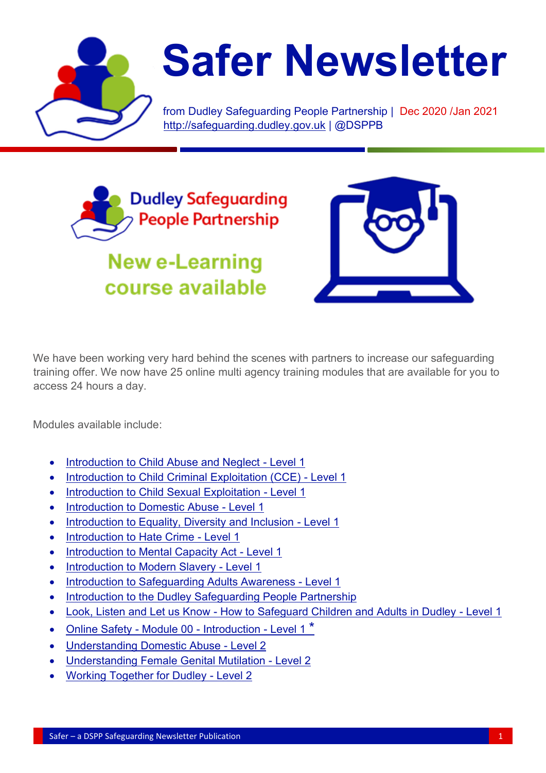

# **Safer Newsletter**

from Dudley Safeguarding People Partnership | Dec 2020 /Jan 2021 [http://safeguarding.dudley.gov.uk](http://safeguarding.dudley.gov.uk/) | @DSPPB



**New e-Learning** course available



We have been working very hard behind the scenes with partners to increase our safeguarding training offer. We now have 25 online multi agency training modules that are available for you to access 24 hours a day.

Modules available include:

- [Introduction to Child Abuse and Neglect -](https://dudleysafeguarding.event-booking.org/elearning-detail/%3D%3DwN2ATO/Introduction-to-Child-Abuse-and-Neglect---Level-1) Level 1
- [Introduction to Child Criminal Exploitation \(CCE\) -](https://dudleysafeguarding.event-booking.org/elearning-detail/%3DUDMxATM/Introduction-to-Child-Criminal-Exploitation-CCE---Level-1) Level 1
- Introduction to Child Sexual Exploitation Level 1
- [Introduction to Domestic Abuse -](https://dudleysafeguarding.event-booking.org/elearning-detail/%3D%3DwMzgDO/Introduction-to-Domestic-Abuse---Level-1) Level 1
- [Introduction to Equality, Diversity and Inclusion -](https://dudleysafeguarding.event-booking.org/elearning-detail/%3D%3DgMxYTO/Introduction-to-Equality-Diversity-and-Inclusion---Level-1) Level 1
- [Introduction to Hate Crime -](https://dudleysafeguarding.event-booking.org/elearning-detail/%3D%3DAO2gDO/Introduction-to-Hate-Crime---Level-1) Level 1
- [Introduction to Mental Capacity Act -](https://dudleysafeguarding.event-booking.org/elearning-detail/%3D%3DgM2gDO/Introduction-to-Mental-Capacity-Act---Level-1) Level 1
- [Introduction to Modern Slavery -](https://dudleysafeguarding.event-booking.org/elearning-detail/%3D%3DwNzgDO/Introduction-to-Modern-Slavery---Level-1) Level 1
- [Introduction to Safeguarding Adults Awareness -](https://dudleysafeguarding.event-booking.org/elearning-detail/%3D%3DQNwgDO/Introduction-to-Safeguarding-Adults-Awareness---Level-1) Level 1
- [Introduction to the Dudley Safeguarding People Partnership](https://dudleysafeguarding.event-booking.org/elearning-detail/%3D%3DgN4cTO/Introduction-to-the-Dudley-Safeguarding-People-Partnership)
- Look, Listen and Let us Know [How to Safeguard Children and Adults in Dudley -](https://dudleysafeguarding.event-booking.org/elearning-detail/%3D%3DgM2kDO/Look-Listen-and-Let-us-Know---How-to-Safeguard-Children-and-Adults-in-Dudley---Level-1) Level 1
- [Online Safety -](https://dudleysafeguarding.event-booking.org/elearning-detail/%3DYDN1ATM/Online-Safety---Module-00---Introduction---Level-1) Module 00 Introduction Level 1<sup>\*</sup>
- [Understanding Domestic Abuse -](https://dudleysafeguarding.event-booking.org/elearning-detail/%3D%3DAMxgDO/Understanding-Domestic-Abuse---Level-2) Level 2
- [Understanding Female Genital Mutilation -](https://dudleysafeguarding.event-booking.org/elearning-detail/%3D%3DAMzATO/Understanding-Female-Genital-Mutilation---Level-2) Level 2
- [Working Together for Dudley -](https://dudleysafeguarding.event-booking.org/elearning-detail/%3D%3DgMxkDO/Working-Together-for-Dudley---Level-2) Level 2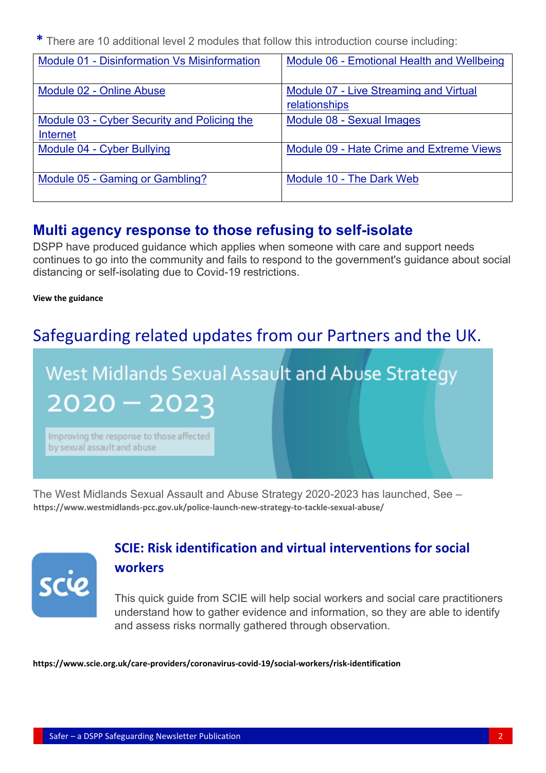**\*** There are 10 additional level 2 modules that follow this introduction course including:

| <b>Module 01 - Disinformation Vs Misinformation</b>            | Module 06 - Emotional Health and Wellbeing              |
|----------------------------------------------------------------|---------------------------------------------------------|
| Module 02 - Online Abuse                                       | Module 07 - Live Streaming and Virtual<br>relationships |
| Module 03 - Cyber Security and Policing the<br><b>Internet</b> | Module 08 - Sexual Images                               |
| Module 04 - Cyber Bullying                                     | Module 09 - Hate Crime and Extreme Views                |
| Module 05 - Gaming or Gambling?                                | Module 10 - The Dark Web                                |

#### **Multi agency response to those refusing to self-isolate**

DSPP have produced guidance which applies when someone with care and support needs continues to go into the community and fails to respond to the government's guidance about social distancing or self-isolating due to Covid-19 restrictions.

#### **[View the guidance](https://safeguarding.dudley.gov.uk/media/16380/multi-agency-response-to-persons-refusing-to-self-isolate-oct-2020.pdf)**

# Safeguarding related updates from our Partners and the UK.

# West Midlands Sexual Assault and Abuse Strategy

 $2020 - 2023$ 

Improving the response to those affected by sexual assault and abuse

The West Midlands Sexual Assault and Abuse Strategy 2020-2023 has launched, See – **<https://www.westmidlands-pcc.gov.uk/police-launch-new-strategy-to-tackle-sexual-abuse/>**



#### **[SCIE: Risk identification and virtual interventions for social](https://trixonline.us11.list-manage.com/track/click?u=3c9e3b7a3b8ef38c751b70d6d&id=ec62fcc84e&e=d26561a083)  [workers](https://trixonline.us11.list-manage.com/track/click?u=3c9e3b7a3b8ef38c751b70d6d&id=ec62fcc84e&e=d26561a083)**

This quick guide from SCIE will help social workers and social care practitioners understand how to gather evidence and information, so they are able to identify and assess risks normally gathered through observation.

**<https://www.scie.org.uk/care-providers/coronavirus-covid-19/social-workers/risk-identification>**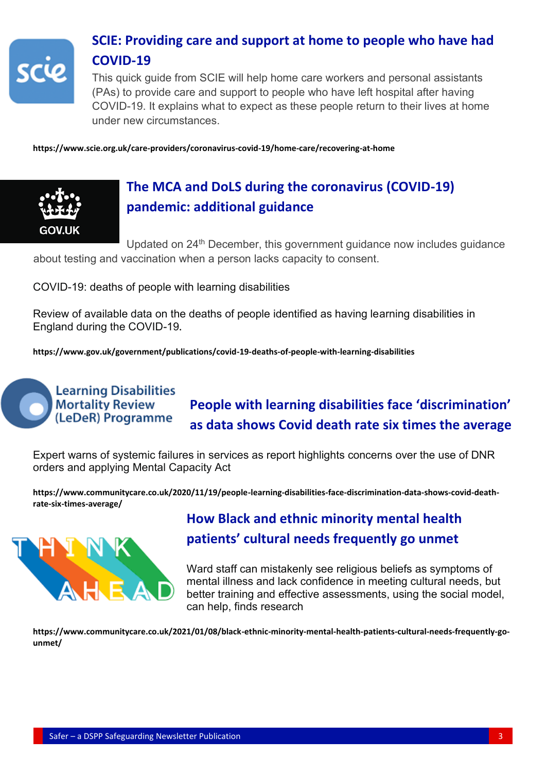

#### **SCIE: Providing care and support at home to people who have had COVID-19**

This quick guide from SCIE will help home care workers and personal assistants (PAs) to provide care and support to people who have left hospital after having COVID-19. It explains what to expect as these people return to their lives at home under new circumstances.

**<https://www.scie.org.uk/care-providers/coronavirus-covid-19/home-care/recovering-at-home>**



### **The MCA and DoLS during the coronavirus (COVID-19) pandemic: additional guidance**

Updated on 24<sup>th</sup> December, this government guidance now includes guidance about testing and vaccination when a person lacks capacity to consent.

COVID-19: deaths of people with learning disabilities

Review of available data on the deaths of people identified as having learning disabilities in England during the COVID-19**.**

**<https://www.gov.uk/government/publications/covid-19-deaths-of-people-with-learning-disabilities>**

#### **Learning Disabilities Mortality Review** (LeDeR) Programme

## **People with learning disabilities face 'discrimination' as data shows Covid death rate six times the average**

Expert warns of systemic failures in services as report highlights concerns over the use of DNR orders and applying Mental Capacity Act

**https://www.communitycare.co.uk/2020/11/19/people-learning-disabilities-face-discrimination-data-shows-covid-deathrate-six-times-average/**



#### **How Black and ethnic minority mental health patients' cultural needs frequently go unmet**

Ward staff can mistakenly see religious beliefs as symptoms of mental illness and lack confidence in meeting cultural needs, but better training and effective assessments, using the social model, can help, finds research

**https://www.communitycare.co.uk/2021/01/08/black-ethnic-minority-mental-health-patients-cultural-needs-frequently-gounmet/**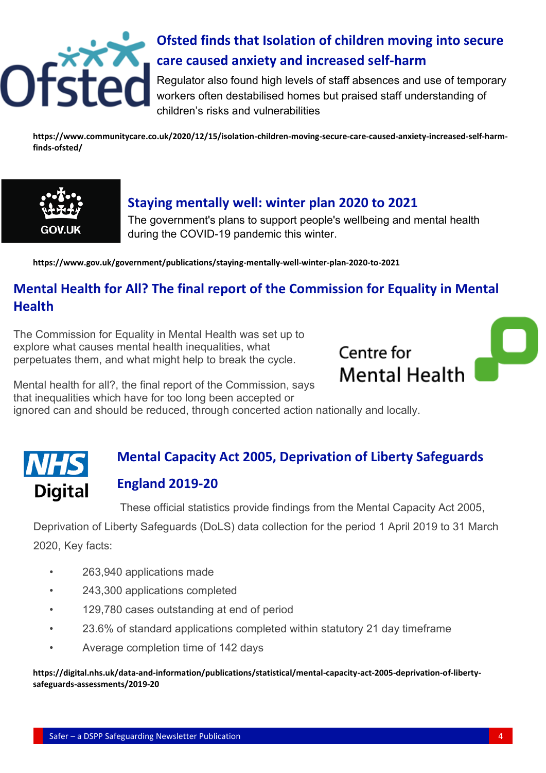

## **Ofsted finds that Isolation of children moving into secure care caused anxiety and increased self-harm**

Regulator also found high levels of staff absences and use of temporary workers often destabilised homes but praised staff understanding of children's risks and vulnerabilities

**[https://www.communitycare.co.uk/2020/12/15/isolation-children-moving-secure-care-caused-anxiety-increased-self-harm](https://www.communitycare.co.uk/2020/12/15/isolation-children-moving-secure-care-caused-anxiety-increased-self-harm-finds-ofsted/)[finds-ofsted/](https://www.communitycare.co.uk/2020/12/15/isolation-children-moving-secure-care-caused-anxiety-increased-self-harm-finds-ofsted/)**



#### **Staying mentally well: winter plan 2020 to 2021**

The government's plans to support people's wellbeing and mental health during the COVID-19 pandemic this winter.

**<https://www.gov.uk/government/publications/staying-mentally-well-winter-plan-2020-to-2021>**

#### **[Mental Health for All? The final report of the Commission for Equality in Mental](https://trixonline.us11.list-manage.com/track/click?u=3c9e3b7a3b8ef38c751b70d6d&id=4073314715&e=d26561a083)  [Health](https://trixonline.us11.list-manage.com/track/click?u=3c9e3b7a3b8ef38c751b70d6d&id=4073314715&e=d26561a083)**

The Commission for Equality in Mental Health was set up to explore what causes mental health inequalities, what perpetuates them, and what might help to break the cycle.



Mental health for all?, the final report of the Commission, says that inequalities which have for too long been accepted or ignored can and should be reduced, through concerted action nationally and locally.

#### **Mental Capacity Act 2005, Deprivation of Liberty Safeguards England 2019-20 Digital**

These official statistics provide findings from the Mental Capacity Act 2005,

Deprivation of Liberty Safeguards (DoLS) data collection for the period 1 April 2019 to 31 March 2020, Key facts:

- 263,940 applications made
- 243,300 applications completed
- 129,780 cases outstanding at end of period
- 23.6% of standard applications completed within statutory 21 day timeframe
- Average completion time of 142 days

**[https://digital.nhs.uk/data-and-information/publications/statistical/mental-capacity-act-2005-deprivation-of-liberty](https://digital.nhs.uk/data-and-information/publications/statistical/mental-capacity-act-2005-deprivation-of-liberty-safeguards-assessments/2019-20)[safeguards-assessments/2019-20](https://digital.nhs.uk/data-and-information/publications/statistical/mental-capacity-act-2005-deprivation-of-liberty-safeguards-assessments/2019-20)**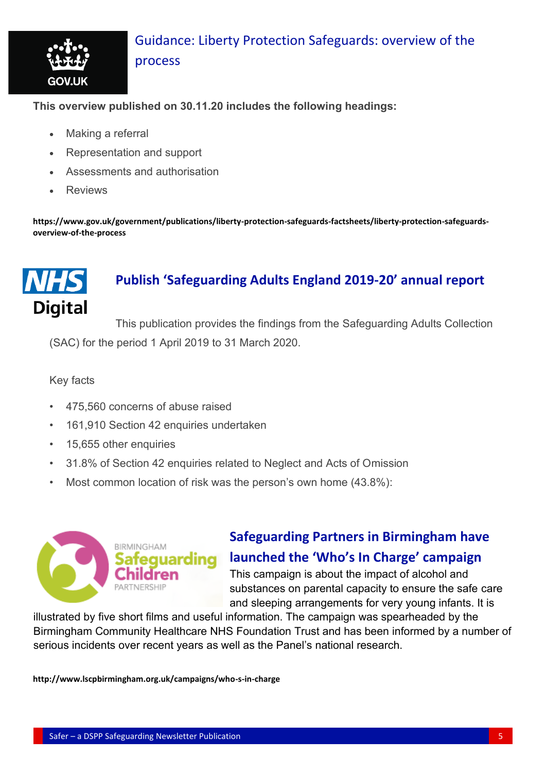

#### [Guidance: Liberty Protection Safeguards: overview of the](https://trixonline.us11.list-manage.com/track/click?u=3c9e3b7a3b8ef38c751b70d6d&id=88cba7fdf5&e=d26561a083)  [process](https://trixonline.us11.list-manage.com/track/click?u=3c9e3b7a3b8ef38c751b70d6d&id=88cba7fdf5&e=d26561a083)

**This overview published on 30.11.20 includes the following headings:**

- Making a referral
- Representation and support
- Assessments and authorisation
- **Reviews**

**[https://www.gov.uk/government/publications/liberty-protection-safeguards-factsheets/liberty-protection-safeguards](https://www.gov.uk/government/publications/liberty-protection-safeguards-factsheets/liberty-protection-safeguards-overview-of-the-process)[overview-of-the-process](https://www.gov.uk/government/publications/liberty-protection-safeguards-factsheets/liberty-protection-safeguards-overview-of-the-process)**

# **Digital**

#### **Publish 'Safeguarding Adults England 2019-20' annual report**

This publication provides the findings from the Safeguarding Adults Collection (SAC) for the period 1 April 2019 to 31 March 2020.

Key facts

- 475,560 concerns of abuse raised
- 161,910 Section 42 enquiries undertaken
- 15,655 other enquiries
- 31.8% of Section 42 enquiries related to Neglect and Acts of Omission
- Most common location of risk was the person's own home (43.8%):



#### **Safeguarding Partners in Birmingham have launched the 'Who's In Charge' campaign**

This campaign is about the impact of alcohol and substances on parental capacity to ensure the safe care and sleeping arrangements for very young infants. It is

illustrated by five short films and useful information. The campaign was spearheaded by the Birmingham Community Healthcare NHS Foundation Trust and has been informed by a number of serious incidents over recent years as well as the Panel's national research.

**<http://www.lscpbirmingham.org.uk/campaigns/who-s-in-charge>**